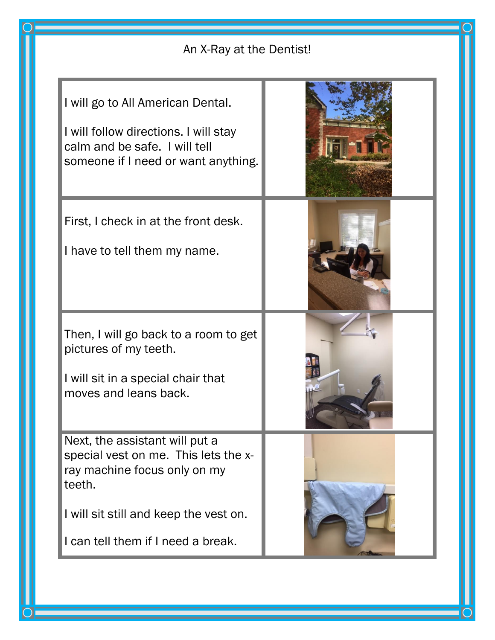| An X-Ray at the Dentist!                                                                                                                                                                         |  |
|--------------------------------------------------------------------------------------------------------------------------------------------------------------------------------------------------|--|
| I will go to All American Dental.<br>I will follow directions. I will stay<br>calm and be safe. I will tell<br>someone if I need or want anything.                                               |  |
| First, I check in at the front desk.<br>I have to tell them my name.                                                                                                                             |  |
| Then, I will go back to a room to get<br>pictures of my teeth.<br>I will sit in a special chair that<br>moves and leans back.                                                                    |  |
| Next, the assistant will put a<br>special vest on me. This lets the x-<br>ray machine focus only on my<br>teeth.<br>I will sit still and keep the vest on.<br>I can tell them if I need a break. |  |